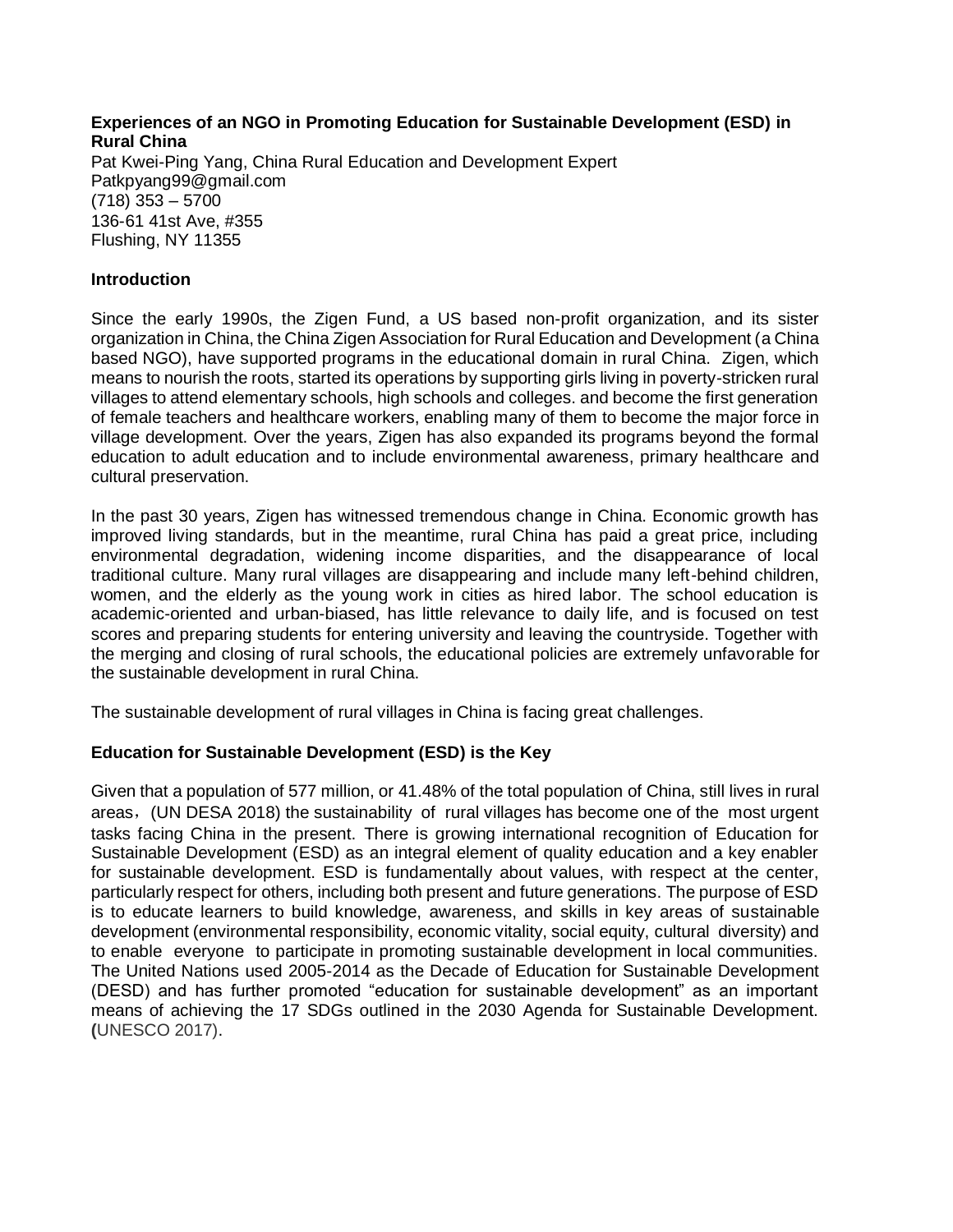### **Experiences of an NGO in Promoting Education for Sustainable Development (ESD) in Rural China**  Pat Kwei-Ping Yang, China Rural Education and Development Expert Patkpyang99@gmail.com (718) 353 – 5700 136-61 41st Ave, #355 Flushing, NY 11355

### **Introduction**

Since the early 1990s, the Zigen Fund, a US based non-profit organization, and its sister organization in China, the China Zigen Association for Rural Education and Development (a China based NGO), have supported programs in the educational domain in rural China. Zigen, which means to nourish the roots, started its operations by supporting girls living in poverty-stricken rural villages to attend elementary schools, high schools and colleges. and become the first generation of female teachers and healthcare workers, enabling many of them to become the major force in village development. Over the years, Zigen has also expanded its programs beyond the formal education to adult education and to include environmental awareness, primary healthcare and cultural preservation.

In the past 30 years, Zigen has witnessed tremendous change in China. Economic growth has improved living standards, but in the meantime, rural China has paid a great price, including environmental degradation, widening income disparities, and the disappearance of local traditional culture. Many rural villages are disappearing and include many left-behind children, women, and the elderly as the young work in cities as hired labor. The school education is academic-oriented and urban-biased, has little relevance to daily life, and is focused on test scores and preparing students for entering university and leaving the countryside. Together with the merging and closing of rural schools, the educational policies are extremely unfavorable for the sustainable development in rural China.

The sustainable development of rural villages in China is facing great challenges.

# **Education for Sustainable Development (ESD) is the Key**

Given that a population of 577 million, or 41.48% of the total population of China, still lives in rural areas, (UN DESA 2018) the sustainability of rural villages has become one of the most urgent tasks facing China in the present. There is growing international recognition of Education for Sustainable Development (ESD) as an integral element of quality education and a key enabler for sustainable development. ESD is fundamentally about values, with respect at the center, particularly respect for others, including both present and future generations. The purpose of ESD is to educate learners to build knowledge, awareness, and skills in key areas of sustainable development (environmental responsibility, economic vitality, social equity, cultural diversity) and to enable everyone to participate in promoting sustainable development in local communities. The United Nations used 2005-2014 as the Decade of Education for Sustainable Development (DESD) and has further promoted "education for sustainable development" as an important means of achieving the 17 SDGs outlined in the 2030 Agenda for Sustainable Development. **(**UNESCO 2017).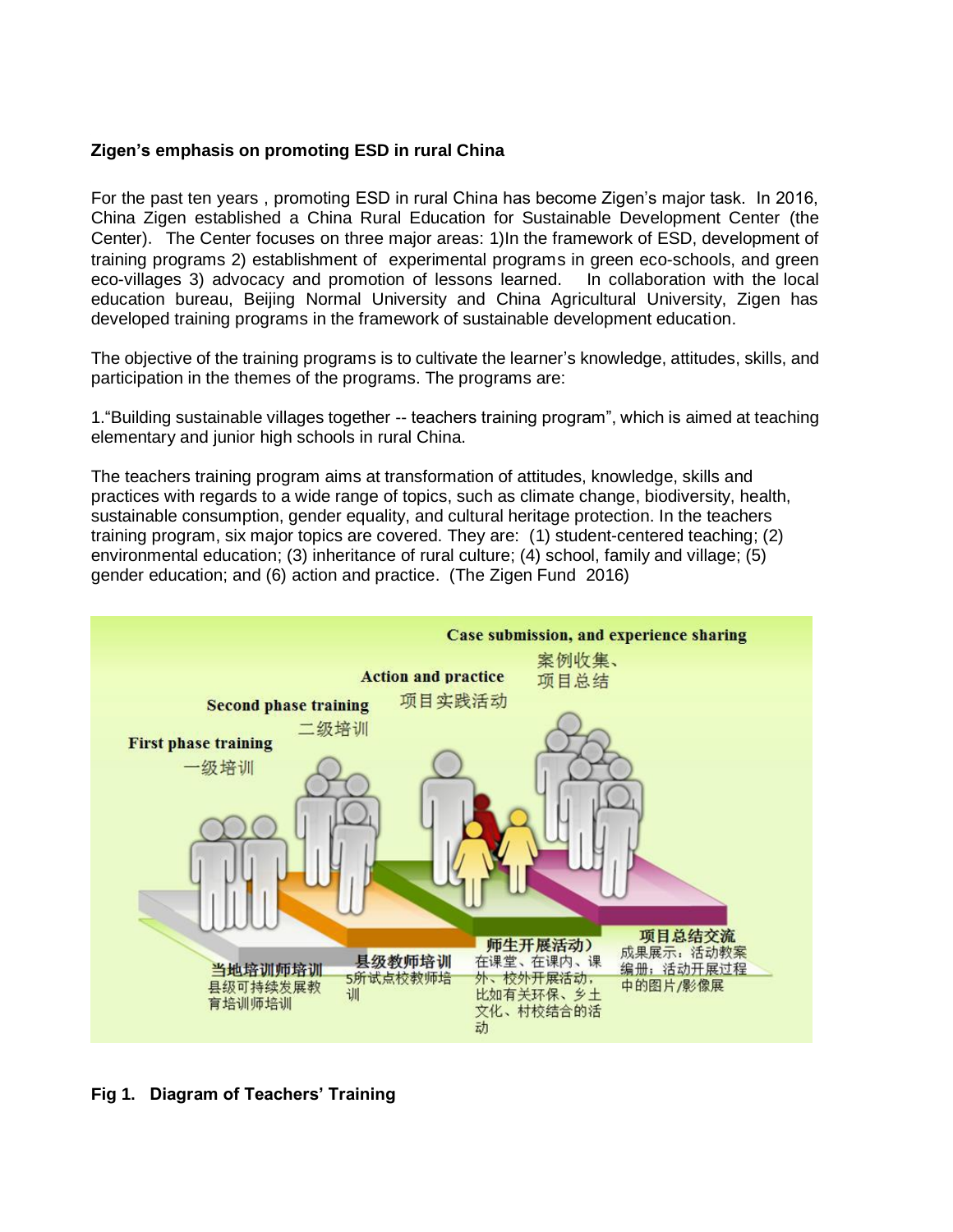# **Zigen's emphasis on promoting ESD in rural China**

For the past ten years , promoting ESD in rural China has become Zigen's major task. In 2016, China Zigen established a China Rural Education for Sustainable Development Center (the Center). The Center focuses on three major areas: 1)In the framework of ESD, development of training programs 2) establishment of experimental programs in green eco-schools, and green eco-villages 3) advocacy and promotion of lessons learned. In collaboration with the local education bureau, Beijing Normal University and China Agricultural University, Zigen has developed training programs in the framework of sustainable development education.

The objective of the training programs is to cultivate the learner's knowledge, attitudes, skills, and participation in the themes of the programs. The programs are:

1."Building sustainable villages together -- teachers training program", which is aimed at teaching elementary and junior high schools in rural China.

The teachers training program aims at transformation of attitudes, knowledge, skills and practices with regards to a wide range of topics, such as climate change, biodiversity, health, sustainable consumption, gender equality, and cultural heritage protection. In the teachers training program, six major topics are covered. They are: (1) student-centered teaching; (2) environmental education; (3) inheritance of rural culture; (4) school, family and village; (5) gender education; and (6) action and practice. (The Zigen Fund 2016)



# **Fig 1. Diagram of Teachers' Training**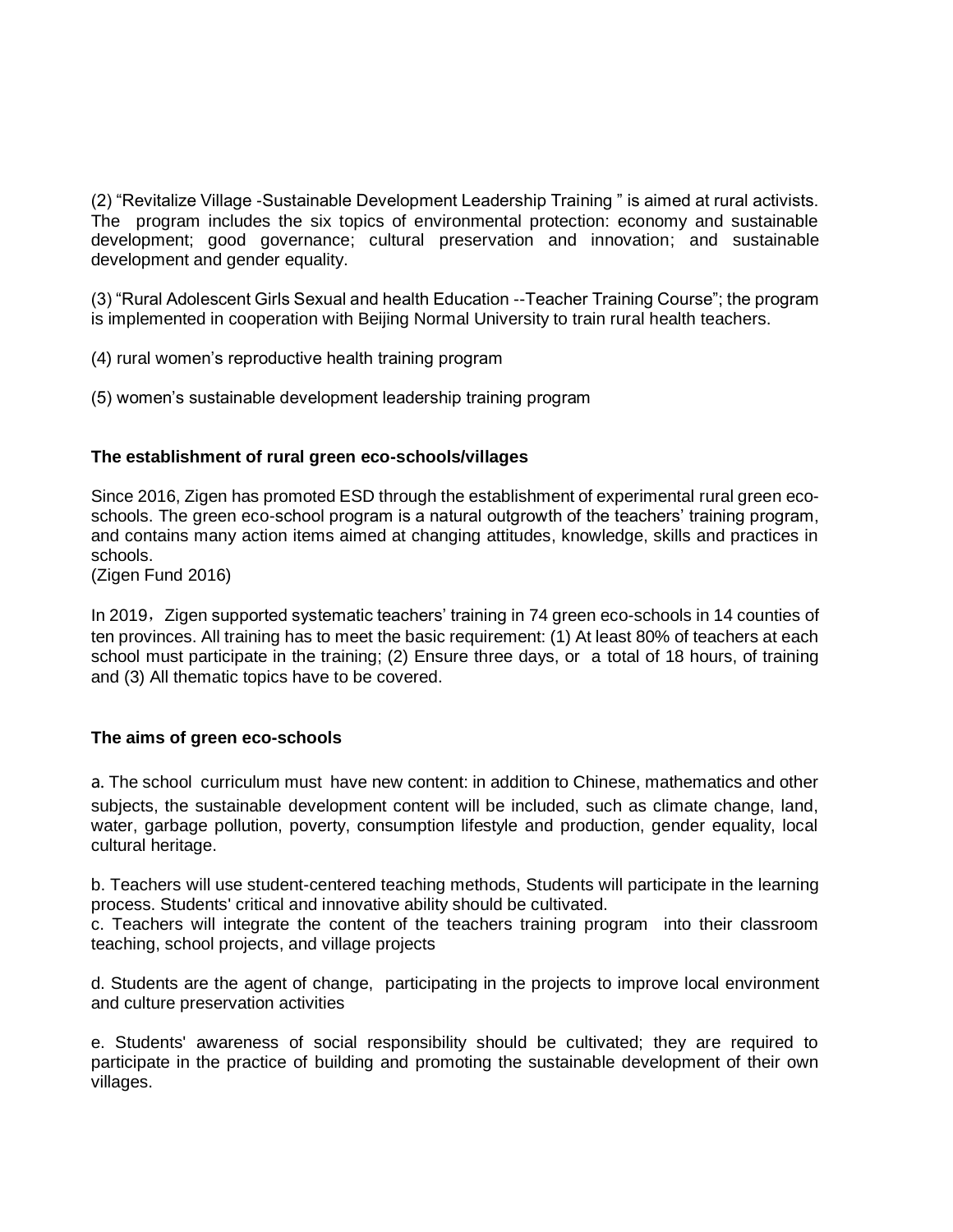(2) "Revitalize Village -Sustainable Development Leadership Training " is aimed at rural activists. The program includes the six topics of environmental protection: economy and sustainable development; good governance; cultural preservation and innovation; and sustainable development and gender equality.

(3) "Rural Adolescent Girls Sexual and health Education --Teacher Training Course"; the program is implemented in cooperation with Beijing Normal University to train rural health teachers.

(4) rural women's reproductive health training program

(5) women's sustainable development leadership training program

### **The establishment of rural green eco-schools/villages**

Since 2016, Zigen has promoted ESD through the establishment of experimental rural green ecoschools. The green eco-school program is a natural outgrowth of the teachers' training program, and contains many action items aimed at changing attitudes, knowledge, skills and practices in schools.

(Zigen Fund 2016)

In 2019, Zigen supported systematic teachers' training in 74 green eco-schools in 14 counties of ten provinces. All training has to meet the basic requirement: (1) At least 80% of teachers at each school must participate in the training; (2) Ensure three days, or a total of 18 hours, of training and (3) All thematic topics have to be covered.

# **The aims of green eco-schools**

a. The school curriculum must have new content: in addition to Chinese, mathematics and other subjects, the sustainable development content will be included, such as climate change, land, water, garbage pollution, poverty, consumption lifestyle and production, gender equality, local cultural heritage.

b. Teachers will use student-centered teaching methods, Students will participate in the learning process. Students' critical and innovative ability should be cultivated.

c. Teachers will integrate the content of the teachers training program into their classroom teaching, school projects, and village projects

d. Students are the agent of change, participating in the projects to improve local environment and culture preservation activities

e. Students' awareness of social responsibility should be cultivated; they are required to participate in the practice of building and promoting the sustainable development of their own villages.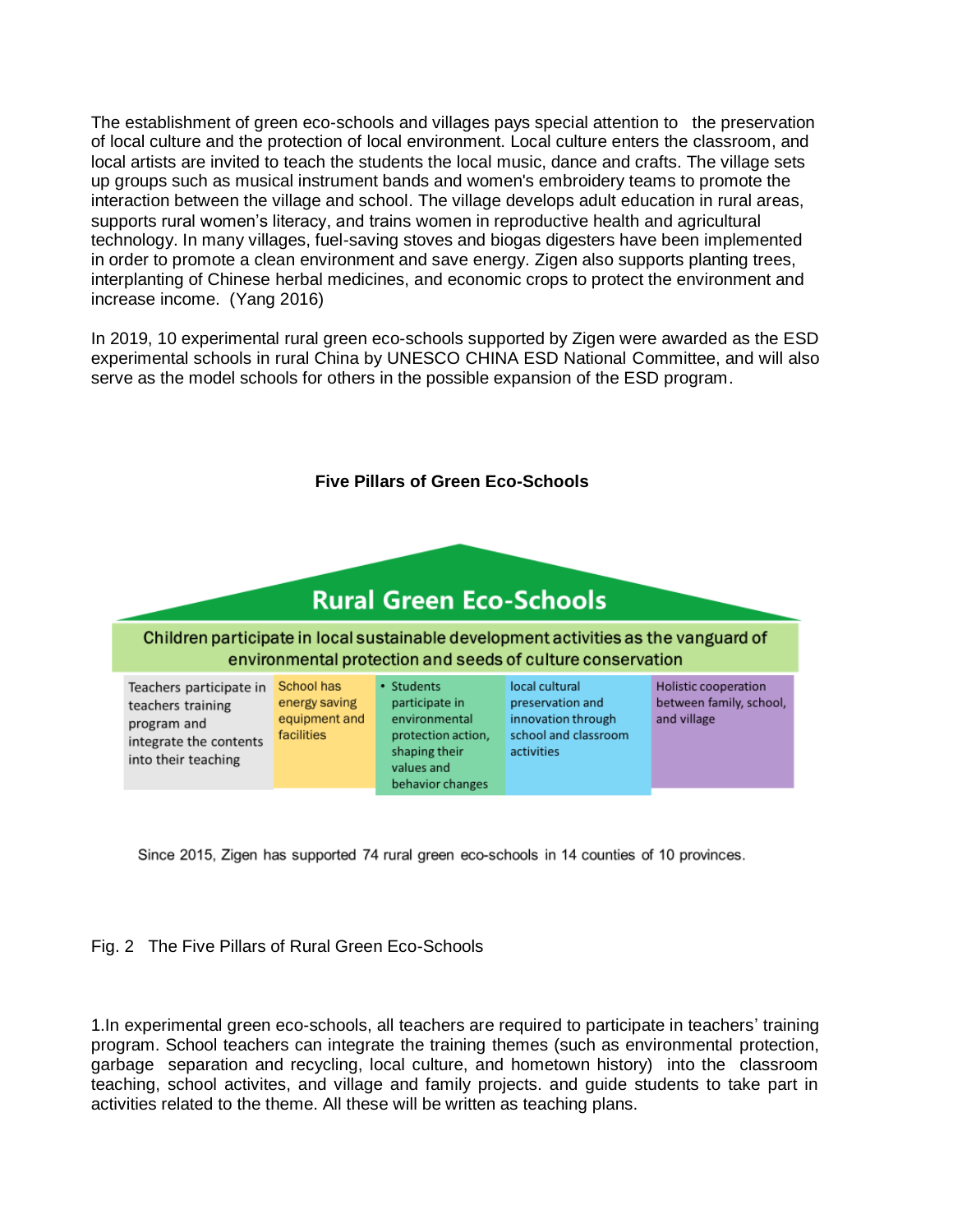The establishment of green eco-schools and villages pays special attention to the preservation of local culture and the protection of local environment. Local culture enters the classroom, and local artists are invited to teach the students the local music, dance and crafts. The village sets up groups such as musical instrument bands and women's embroidery teams to promote the interaction between the village and school. The village develops adult education in rural areas, supports rural women's literacy, and trains women in reproductive health and agricultural technology. In many villages, fuel-saving stoves and biogas digesters have been implemented in order to promote a clean environment and save energy. Zigen also supports planting trees, interplanting of Chinese herbal medicines, and economic crops to protect the environment and increase income. (Yang 2016)

In 2019, 10 experimental rural green eco-schools supported by Zigen were awarded as the ESD experimental schools in rural China by UNESCO CHINA ESD National Committee, and will also serve as the model schools for others in the possible expansion of the ESD program.



Since 2015, Zigen has supported 74 rural green eco-schools in 14 counties of 10 provinces.



1.In experimental green eco-schools, all teachers are required to participate in teachers' training program. School teachers can integrate the training themes (such as environmental protection, garbage separation and recycling, local culture, and hometown history) into the classroom teaching, school activites, and village and family projects. and guide students to take part in activities related to the theme. All these will be written as teaching plans.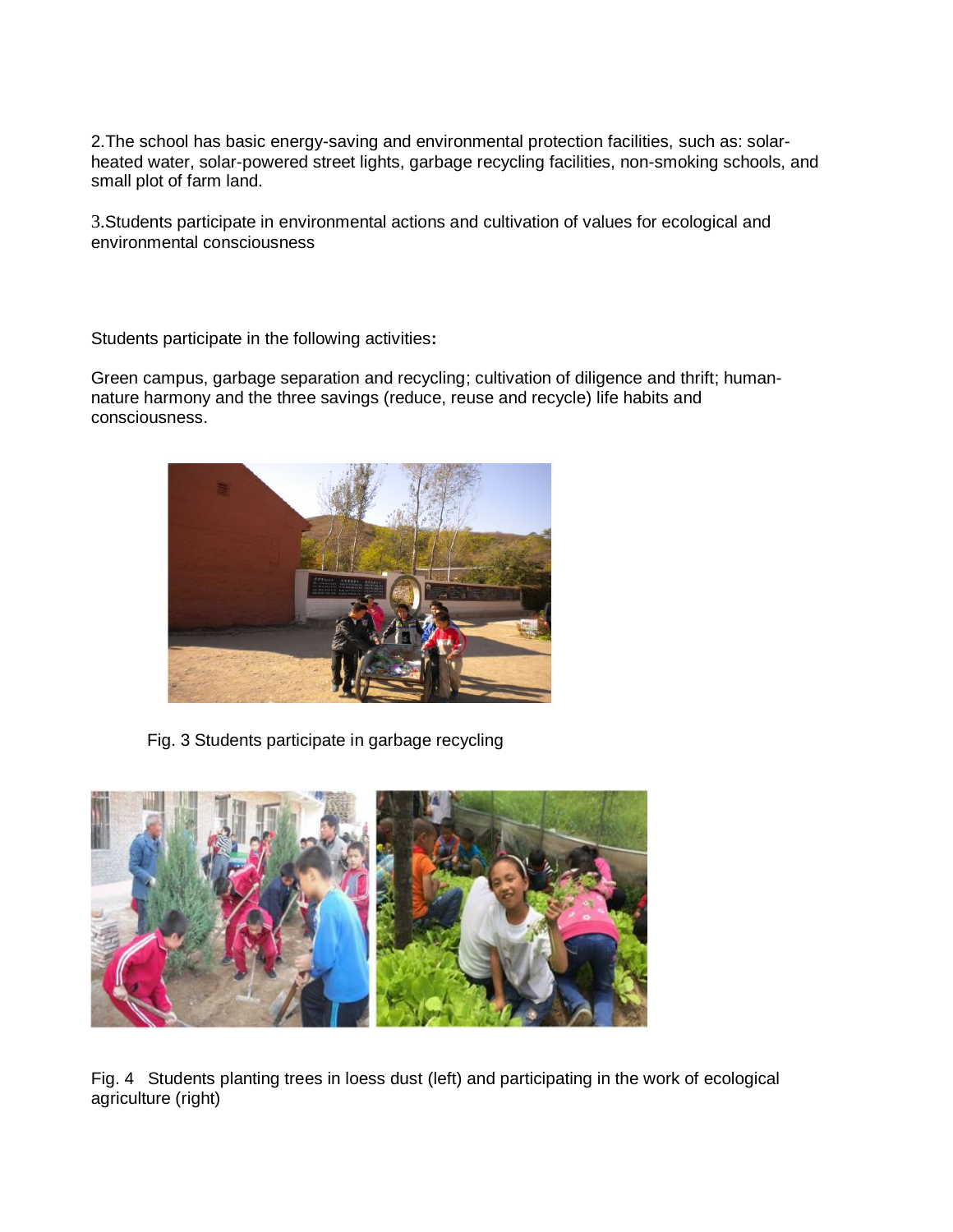2.The school has basic energy-saving and environmental protection facilities, such as: solarheated water, solar-powered street lights, garbage recycling facilities, non-smoking schools, and small plot of farm land.

3.Students participate in environmental actions and cultivation of values for ecological and environmental consciousness

Students participate in the following activities**:** 

Green campus, garbage separation and recycling; cultivation of diligence and thrift; humannature harmony and the three savings (reduce, reuse and recycle) life habits and consciousness.



Fig. 3 Students participate in garbage recycling



Fig. 4 Students planting trees in loess dust (left) and participating in the work of ecological agriculture (right)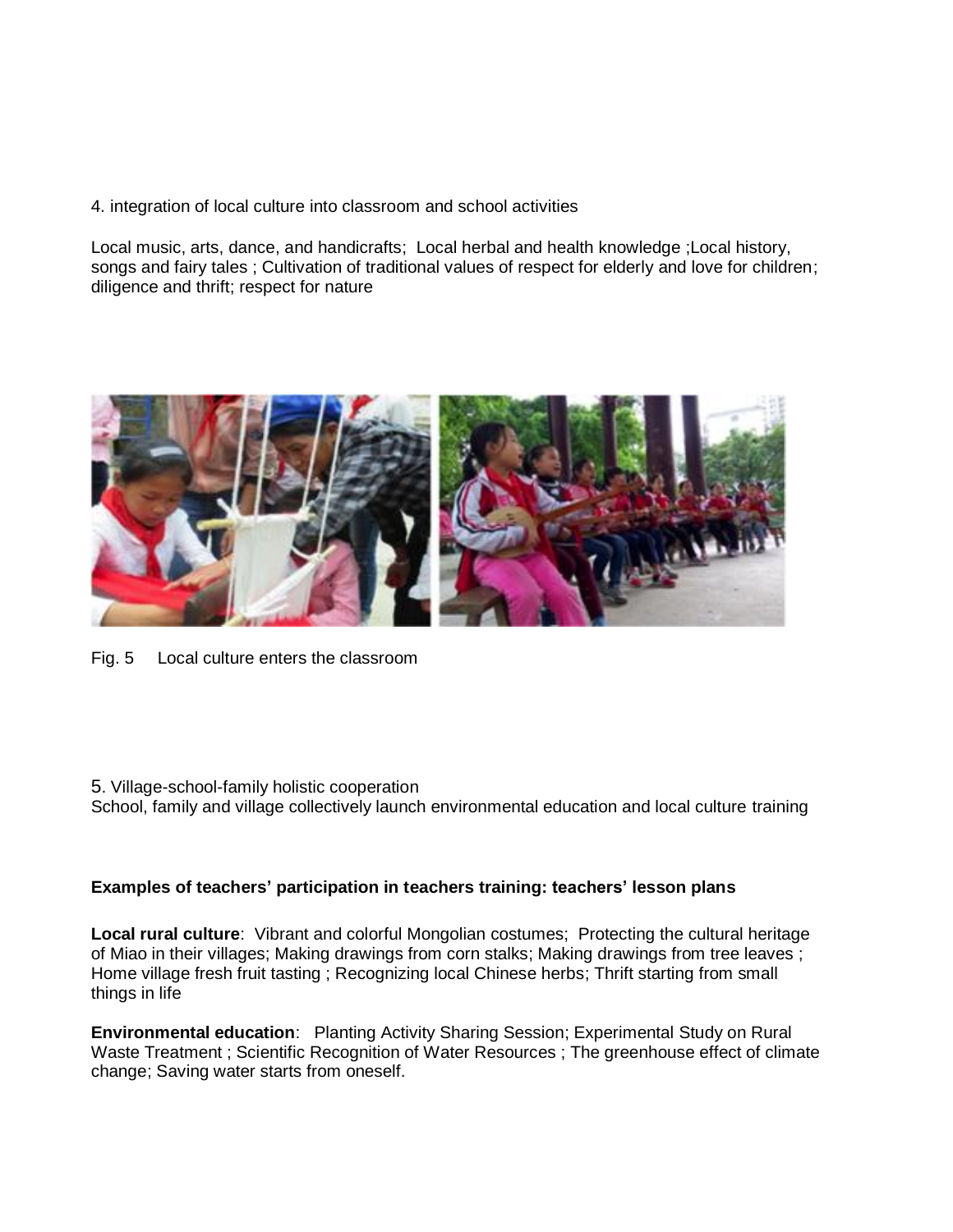4. integration of local culture into classroom and school activities

Local music, arts, dance, and handicrafts; Local herbal and health knowledge ;Local history, songs and fairy tales ; Cultivation of traditional values of respect for elderly and love for children; diligence and thrift; respect for nature



- Fig. 5 Local culture enters the classroom
- 5. Village-school-family holistic cooperation
- School, family and village collectively launch environmental education and local culture training

#### **Examples of teachers' participation in teachers training: teachers' lesson plans**

**Local rural culture**: Vibrant and colorful Mongolian costumes; Protecting the cultural heritage of Miao in their villages; Making drawings from corn stalks; Making drawings from tree leaves ; Home village fresh fruit tasting ; Recognizing local Chinese herbs; Thrift starting from small things in life

**Environmental education**: Planting Activity Sharing Session; Experimental Study on Rural Waste Treatment ; Scientific Recognition of Water Resources ; The greenhouse effect of climate change; Saving water starts from oneself.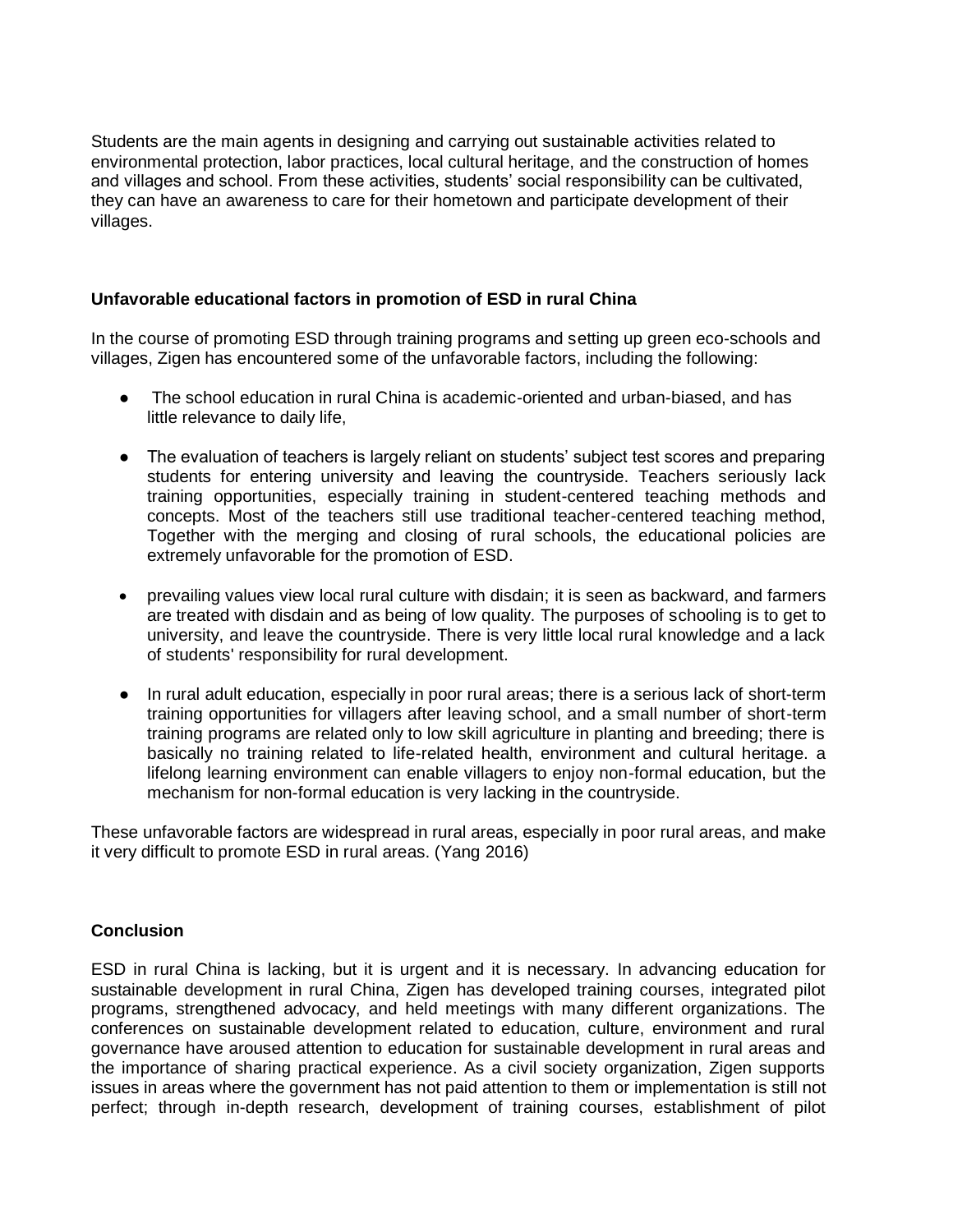Students are the main agents in designing and carrying out sustainable activities related to environmental protection, labor practices, local cultural heritage, and the construction of homes and villages and school. From these activities, students' social responsibility can be cultivated, they can have an awareness to care for their hometown and participate development of their villages.

# **Unfavorable educational factors in promotion of ESD in rural China**

In the course of promoting ESD through training programs and setting up green eco-schools and villages, Zigen has encountered some of the unfavorable factors, including the following:

- The school education in rural China is academic-oriented and urban-biased, and has little relevance to daily life,
- The evaluation of teachers is largely reliant on students' subject test scores and preparing students for entering university and leaving the countryside. Teachers seriously lack training opportunities, especially training in student-centered teaching methods and concepts. Most of the teachers still use traditional teacher-centered teaching method, Together with the merging and closing of rural schools, the educational policies are extremely unfavorable for the promotion of ESD.
- prevailing values view local rural culture with disdain; it is seen as backward, and farmers are treated with disdain and as being of low quality. The purposes of schooling is to get to university, and leave the countryside. There is very little local rural knowledge and a lack of students' responsibility for rural development.
- In rural adult education, especially in poor rural areas; there is a serious lack of short-term training opportunities for villagers after leaving school, and a small number of short-term training programs are related only to low skill agriculture in planting and breeding; there is basically no training related to life-related health, environment and cultural heritage. a lifelong learning environment can enable villagers to enjoy non-formal education, but the mechanism for non-formal education is very lacking in the countryside.

These unfavorable factors are widespread in rural areas, especially in poor rural areas, and make it very difficult to promote ESD in rural areas. (Yang 2016)

#### **Conclusion**

ESD in rural China is lacking, but it is urgent and it is necessary. In advancing education for sustainable development in rural China, Zigen has developed training courses, integrated pilot programs, strengthened advocacy, and held meetings with many different organizations. The conferences on sustainable development related to education, culture, environment and rural governance have aroused attention to education for sustainable development in rural areas and the importance of sharing practical experience. As a civil society organization, Zigen supports issues in areas where the government has not paid attention to them or implementation is still not perfect; through in-depth research, development of training courses, establishment of pilot